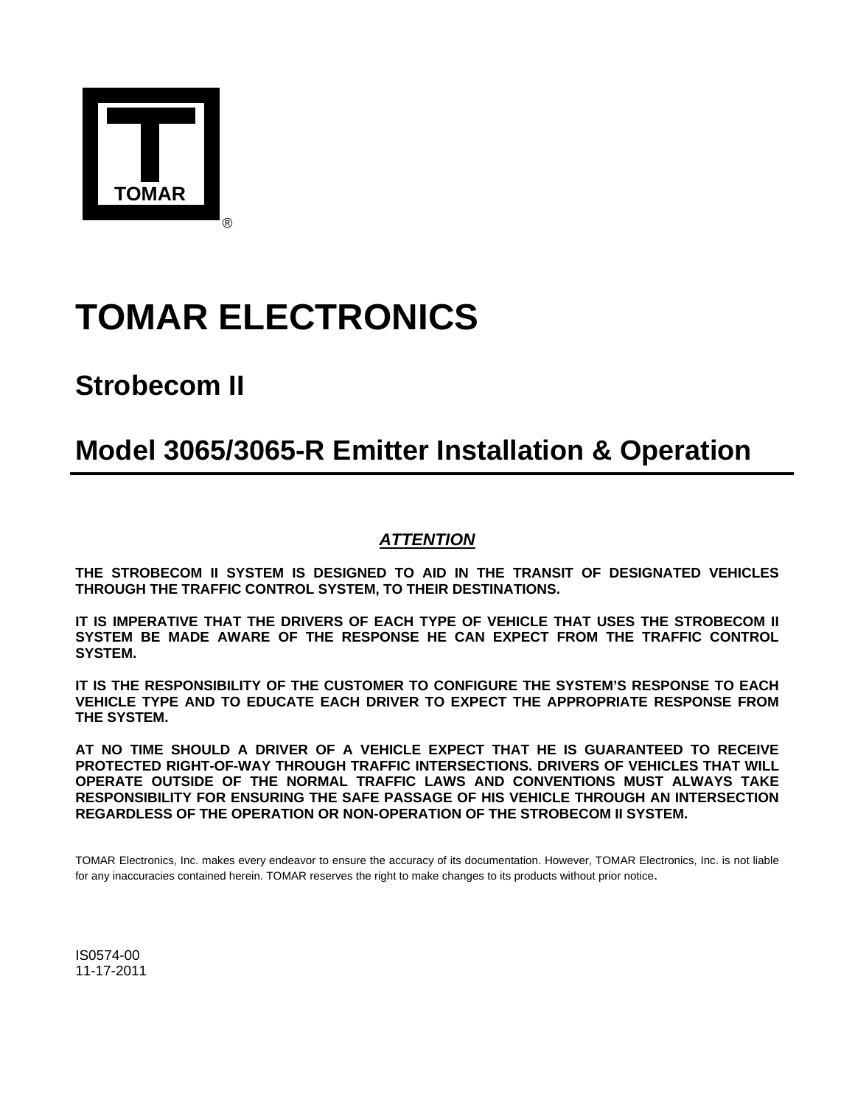

# **TOMAR ELECTRONICS**

## **Strobecom II**

## **Model 3065/3065-R Emitter Installation & Operation**

### *ATTENTION*

**THE STROBECOM II SYSTEM IS DESIGNED TO AID IN THE TRANSIT OF DESIGNATED VEHICLES THROUGH THE TRAFFIC CONTROL SYSTEM, TO THEIR DESTINATIONS.** 

**IT IS IMPERATIVE THAT THE DRIVERS OF EACH TYPE OF VEHICLE THAT USES THE STROBECOM II SYSTEM BE MADE AWARE OF THE RESPONSE HE CAN EXPECT FROM THE TRAFFIC CONTROL SYSTEM.** 

**IT IS THE RESPONSIBILITY OF THE CUSTOMER TO CONFIGURE THE SYSTEM'S RESPONSE TO EACH VEHICLE TYPE AND TO EDUCATE EACH DRIVER TO EXPECT THE APPROPRIATE RESPONSE FROM THE SYSTEM.** 

**AT NO TIME SHOULD A DRIVER OF A VEHICLE EXPECT THAT HE IS GUARANTEED TO RECEIVE PROTECTED RIGHT-OF-WAY THROUGH TRAFFIC INTERSECTIONS. DRIVERS OF VEHICLES THAT WILL OPERATE OUTSIDE OF THE NORMAL TRAFFIC LAWS AND CONVENTIONS MUST ALWAYS TAKE RESPONSIBILITY FOR ENSURING THE SAFE PASSAGE OF HIS VEHICLE THROUGH AN INTERSECTION REGARDLESS OF THE OPERATION OR NON-OPERATION OF THE STROBECOM II SYSTEM.** 

TOMAR Electronics, Inc. makes every endeavor to ensure the accuracy of its documentation. However, TOMAR Electronics, Inc. is not liable for any inaccuracies contained herein. TOMAR reserves the right to make changes to its products without prior notice.

IS0574-00 11-17-2011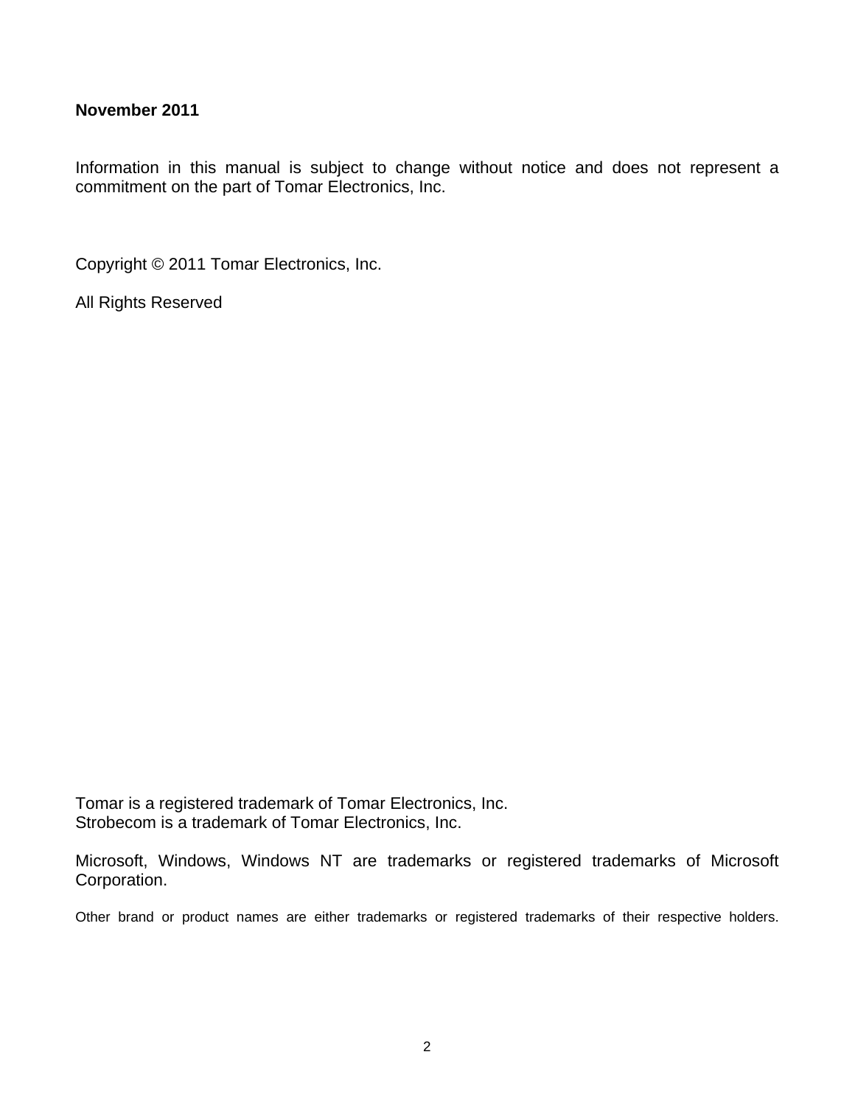#### **November 2011**

Information in this manual is subject to change without notice and does not represent a commitment on the part of Tomar Electronics, Inc.

Copyright © 2011 Tomar Electronics, Inc.

All Rights Reserved

Tomar is a registered trademark of Tomar Electronics, Inc. Strobecom is a trademark of Tomar Electronics, Inc.

Microsoft, Windows, Windows NT are trademarks or registered trademarks of Microsoft Corporation.

Other brand or product names are either trademarks or registered trademarks of their respective holders.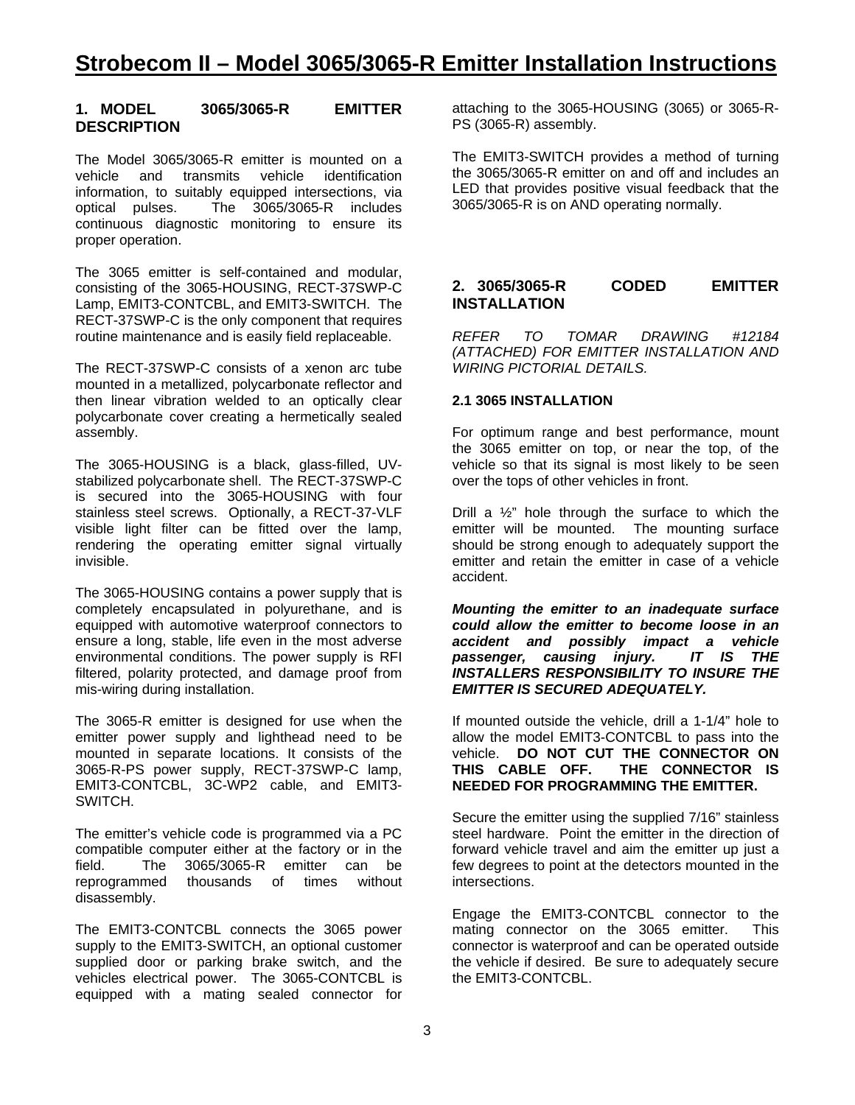#### **1. MODEL 3065/3065-R EMITTER DESCRIPTION**

The Model 3065/3065-R emitter is mounted on a vehicle and transmits vehicle identification information, to suitably equipped intersections, via optical pulses. The 3065/3065-R includes continuous diagnostic monitoring to ensure its proper operation.

The 3065 emitter is self-contained and modular, consisting of the 3065-HOUSING, RECT-37SWP-C Lamp, EMIT3-CONTCBL, and EMIT3-SWITCH. The RECT-37SWP-C is the only component that requires routine maintenance and is easily field replaceable.

The RECT-37SWP-C consists of a xenon arc tube mounted in a metallized, polycarbonate reflector and then linear vibration welded to an optically clear polycarbonate cover creating a hermetically sealed assembly.

The 3065-HOUSING is a black, glass-filled, UVstabilized polycarbonate shell. The RECT-37SWP-C is secured into the 3065-HOUSING with four stainless steel screws. Optionally, a RECT-37-VLF visible light filter can be fitted over the lamp, rendering the operating emitter signal virtually invisible.

The 3065-HOUSING contains a power supply that is completely encapsulated in polyurethane, and is equipped with automotive waterproof connectors to ensure a long, stable, life even in the most adverse environmental conditions. The power supply is RFI filtered, polarity protected, and damage proof from mis-wiring during installation.

The 3065-R emitter is designed for use when the emitter power supply and lighthead need to be mounted in separate locations. It consists of the 3065-R-PS power supply, RECT-37SWP-C lamp, EMIT3-CONTCBL, 3C-WP2 cable, and EMIT3- SWITCH.

The emitter's vehicle code is programmed via a PC compatible computer either at the factory or in the field. The 3065/3065-R emitter can be reprogrammed thousands of times without disassembly.

The EMIT3-CONTCBL connects the 3065 power supply to the EMIT3-SWITCH, an optional customer supplied door or parking brake switch, and the vehicles electrical power. The 3065-CONTCBL is equipped with a mating sealed connector for

attaching to the 3065-HOUSING (3065) or 3065-R-PS (3065-R) assembly.

The EMIT3-SWITCH provides a method of turning the 3065/3065-R emitter on and off and includes an LED that provides positive visual feedback that the 3065/3065-R is on AND operating normally.

#### **2. 3065/3065-R CODED EMITTER INSTALLATION**

*REFER TO TOMAR DRAWING #12184 (ATTACHED) FOR EMITTER INSTALLATION AND WIRING PICTORIAL DETAILS.* 

#### **2.1 3065 INSTALLATION**

For optimum range and best performance, mount the 3065 emitter on top, or near the top, of the vehicle so that its signal is most likely to be seen over the tops of other vehicles in front.

Drill a  $\frac{1}{2}$ " hole through the surface to which the emitter will be mounted. The mounting surface should be strong enough to adequately support the emitter and retain the emitter in case of a vehicle accident.

*Mounting the emitter to an inadequate surface could allow the emitter to become loose in an accident and possibly impact a vehicle passenger, causing injury. IT IS THE INSTALLERS RESPONSIBILITY TO INSURE THE EMITTER IS SECURED ADEQUATELY.* 

If mounted outside the vehicle, drill a 1-1/4" hole to allow the model EMIT3-CONTCBL to pass into the vehicle. **DO NOT CUT THE CONNECTOR ON THIS CABLE OFF. THE CONNECTOR IS NEEDED FOR PROGRAMMING THE EMITTER.** 

Secure the emitter using the supplied 7/16" stainless steel hardware. Point the emitter in the direction of forward vehicle travel and aim the emitter up just a few degrees to point at the detectors mounted in the intersections.

Engage the EMIT3-CONTCBL connector to the mating connector on the 3065 emitter. This connector is waterproof and can be operated outside the vehicle if desired. Be sure to adequately secure the EMIT3-CONTCBL.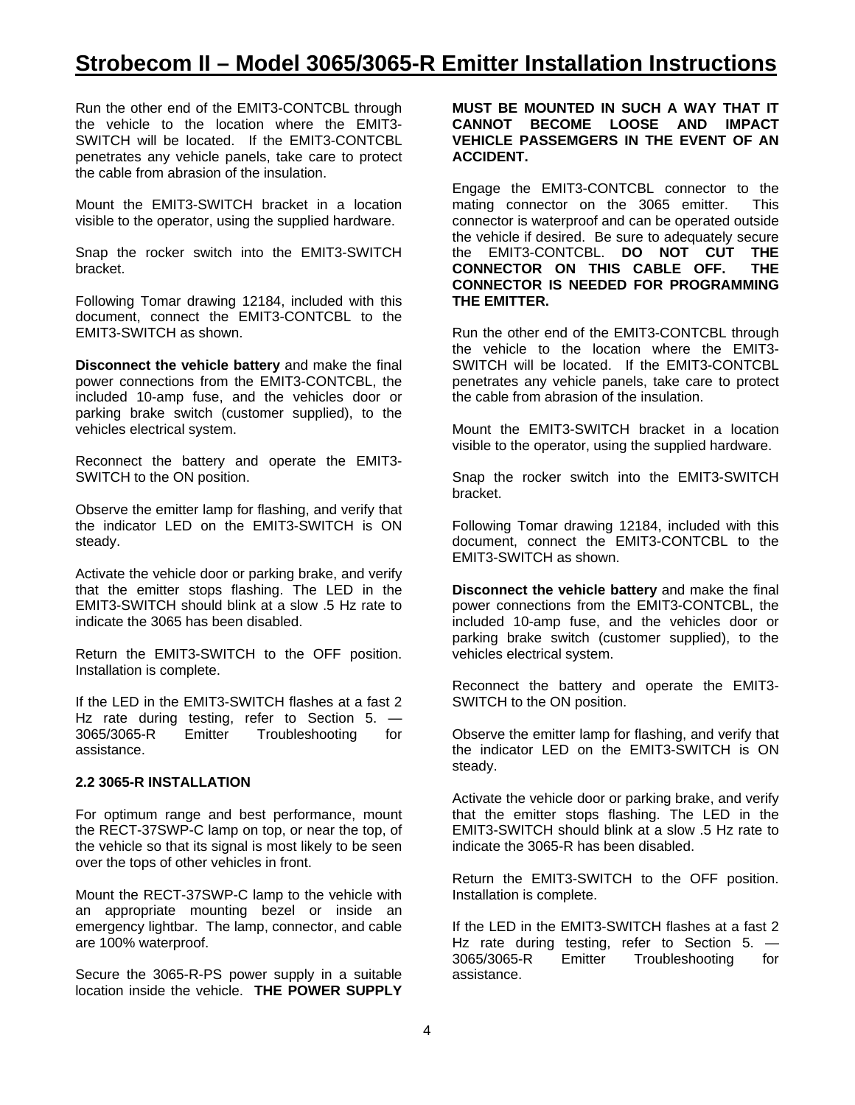### **Strobecom II – Model 3065/3065-R Emitter Installation Instructions**

Run the other end of the EMIT3-CONTCBL through the vehicle to the location where the EMIT3- SWITCH will be located. If the EMIT3-CONTCBL penetrates any vehicle panels, take care to protect the cable from abrasion of the insulation.

Mount the EMIT3-SWITCH bracket in a location visible to the operator, using the supplied hardware.

Snap the rocker switch into the EMIT3-SWITCH bracket.

Following Tomar drawing 12184, included with this document, connect the EMIT3-CONTCBL to the EMIT3-SWITCH as shown.

**Disconnect the vehicle battery** and make the final power connections from the EMIT3-CONTCBL, the included 10-amp fuse, and the vehicles door or parking brake switch (customer supplied), to the vehicles electrical system.

Reconnect the battery and operate the EMIT3- SWITCH to the ON position.

Observe the emitter lamp for flashing, and verify that the indicator LED on the EMIT3-SWITCH is ON steady.

Activate the vehicle door or parking brake, and verify that the emitter stops flashing. The LED in the EMIT3-SWITCH should blink at a slow .5 Hz rate to indicate the 3065 has been disabled.

Return the EMIT3-SWITCH to the OFF position. Installation is complete.

If the LED in the EMIT3-SWITCH flashes at a fast 2 Hz rate during testing, refer to Section 5. --<br>3065/3065-R Emitter Troubleshooting for 3065/3065-R Emitter Troubleshooting for assistance.

#### **2.2 3065-R INSTALLATION**

For optimum range and best performance, mount the RECT-37SWP-C lamp on top, or near the top, of the vehicle so that its signal is most likely to be seen over the tops of other vehicles in front.

Mount the RECT-37SWP-C lamp to the vehicle with an appropriate mounting bezel or inside an emergency lightbar. The lamp, connector, and cable are 100% waterproof.

Secure the 3065-R-PS power supply in a suitable location inside the vehicle. **THE POWER SUPPLY** 

#### **MUST BE MOUNTED IN SUCH A WAY THAT IT CANNOT BECOME LOOSE AND IMPACT VEHICLE PASSEMGERS IN THE EVENT OF AN ACCIDENT.**

Engage the EMIT3-CONTCBL connector to the mating connector on the 3065 emitter. This connector is waterproof and can be operated outside the vehicle if desired. Be sure to adequately secure the EMIT3-CONTCBL. **DO NOT CUT THE CONNECTOR ON THIS CABLE OFF. THE CONNECTOR IS NEEDED FOR PROGRAMMING THE EMITTER.** 

Run the other end of the EMIT3-CONTCBL through the vehicle to the location where the EMIT3- SWITCH will be located. If the EMIT3-CONTCBL penetrates any vehicle panels, take care to protect the cable from abrasion of the insulation.

Mount the EMIT3-SWITCH bracket in a location visible to the operator, using the supplied hardware.

Snap the rocker switch into the EMIT3-SWITCH bracket.

Following Tomar drawing 12184, included with this document, connect the EMIT3-CONTCBL to the EMIT3-SWITCH as shown.

**Disconnect the vehicle battery** and make the final power connections from the EMIT3-CONTCBL, the included 10-amp fuse, and the vehicles door or parking brake switch (customer supplied), to the vehicles electrical system.

Reconnect the battery and operate the EMIT3- SWITCH to the ON position.

Observe the emitter lamp for flashing, and verify that the indicator LED on the EMIT3-SWITCH is ON steady.

Activate the vehicle door or parking brake, and verify that the emitter stops flashing. The LED in the EMIT3-SWITCH should blink at a slow .5 Hz rate to indicate the 3065-R has been disabled.

Return the EMIT3-SWITCH to the OFF position. Installation is complete.

If the LED in the EMIT3-SWITCH flashes at a fast 2 Hz rate during testing, refer to Section 5. -3065/3065-R Emitter Troubleshooting for assistance.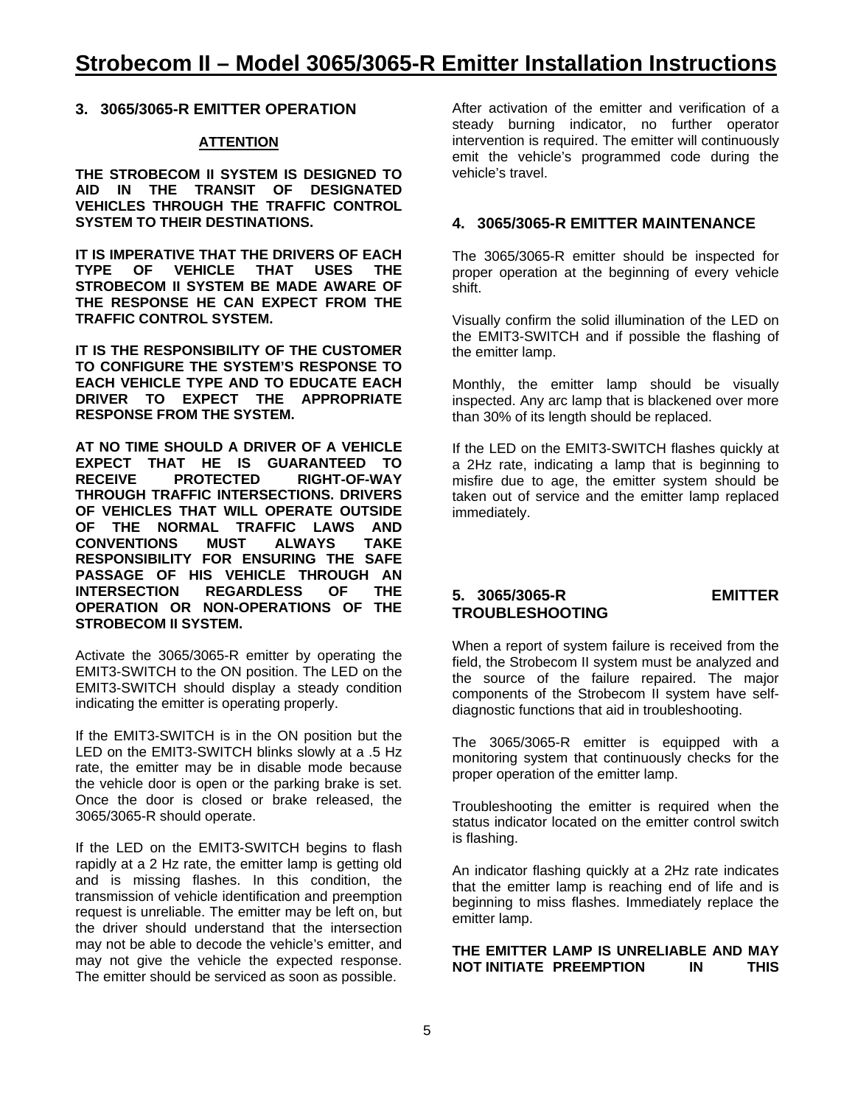**3. 3065/3065-R EMITTER OPERATION** 

#### **ATTENTION**

**THE STROBECOM II SYSTEM IS DESIGNED TO AID IN THE TRANSIT OF DESIGNATED VEHICLES THROUGH THE TRAFFIC CONTROL SYSTEM TO THEIR DESTINATIONS.** 

**IT IS IMPERATIVE THAT THE DRIVERS OF EACH TYPE OF VEHICLE THAT USES THE STROBECOM II SYSTEM BE MADE AWARE OF THE RESPONSE HE CAN EXPECT FROM THE TRAFFIC CONTROL SYSTEM.** 

**IT IS THE RESPONSIBILITY OF THE CUSTOMER TO CONFIGURE THE SYSTEM'S RESPONSE TO EACH VEHICLE TYPE AND TO EDUCATE EACH DRIVER TO EXPECT THE APPROPRIATE RESPONSE FROM THE SYSTEM.** 

**AT NO TIME SHOULD A DRIVER OF A VEHICLE EXPECT THAT HE IS GUARANTEED TO RECEIVE PROTECTED RIGHT-OF-WAY THROUGH TRAFFIC INTERSECTIONS. DRIVERS OF VEHICLES THAT WILL OPERATE OUTSIDE OF THE NORMAL TRAFFIC LAWS AND CONVENTIONS MUST ALWAYS TAKE RESPONSIBILITY FOR ENSURING THE SAFE PASSAGE OF HIS VEHICLE THROUGH AN INTERS REGARDLESS OF OPERATION OR NON-OPERATIONS OF THE STROBECOM II SYSTEM.**

Activate the 3065/3065-R emitter by operating the EMIT3-SWITCH to the ON position. The LED on the EMIT3-SWITCH should display a steady condition indicating the emitter is operating properly.

If the EMIT3-SWITCH is in the ON position but the LED on the EMIT3-SWITCH blinks slowly at a .5 Hz rate, the emitter may be in disable mode because the vehicle door is open or the parking brake is set. Once the door is closed or brake released, the 3065/3065-R should operate.

If the LED on the EMIT3-SWITCH begins to flash rapidly at a 2 Hz rate, the emitter lamp is getting old and is missing flashes. In this condition, the transmission of vehicle identification and preemption request is unreliable. The emitter may be left on, but the driver should understand that the intersection may not be able to decode the vehicle's emitter, and may not give the vehicle the expected response. The emitter should be serviced as soon as possible.

After activation of the emitter and verification of a steady burning indicator, no further operator intervention is required. The emitter will continuously emit the vehicle's programmed code during the vehicle's travel.

#### **4. 3065/3065-R EMITTER MAINTENANCE**

The 3065/3065-R emitter should be inspected for proper operation at the beginning of every vehicle shift.

Visually confirm the solid illumination of the LED on the EMIT3-SWITCH and if possible the flashing of the emitter lamp.

Monthly, the emitter lamp should be visually inspected. Any arc lamp that is blackened over more than 30% of its length should be replaced.

If the LED on the EMIT3-SWITCH flashes quickly at a 2Hz rate, indicating a lamp that is beginning to misfire due to age, the emitter system should be taken out of service and the emitter lamp replaced immediately.

#### **5. 3065/3065-R EMITTER TROUBLESHOOTING**

When a report of system failure is received from the field, the Strobecom II system must be analyzed and the source of the failure repaired. The major components of the Strobecom II system have selfdiagnostic functions that aid in troubleshooting.

The 3065/3065-R emitter is equipped with a monitoring system that continuously checks for the proper operation of the emitter lamp.

Troubleshooting the emitter is required when the status indicator located on the emitter control switch is flashing.

An indicator flashing quickly at a 2Hz rate indicates that the emitter lamp is reaching end of life and is beginning to miss flashes. Immediately replace the emitter lamp.

#### **THE EMITTER LAMP IS UNRELIABLE AND MAY NOT INITIATE PREEMPTION IN THIS**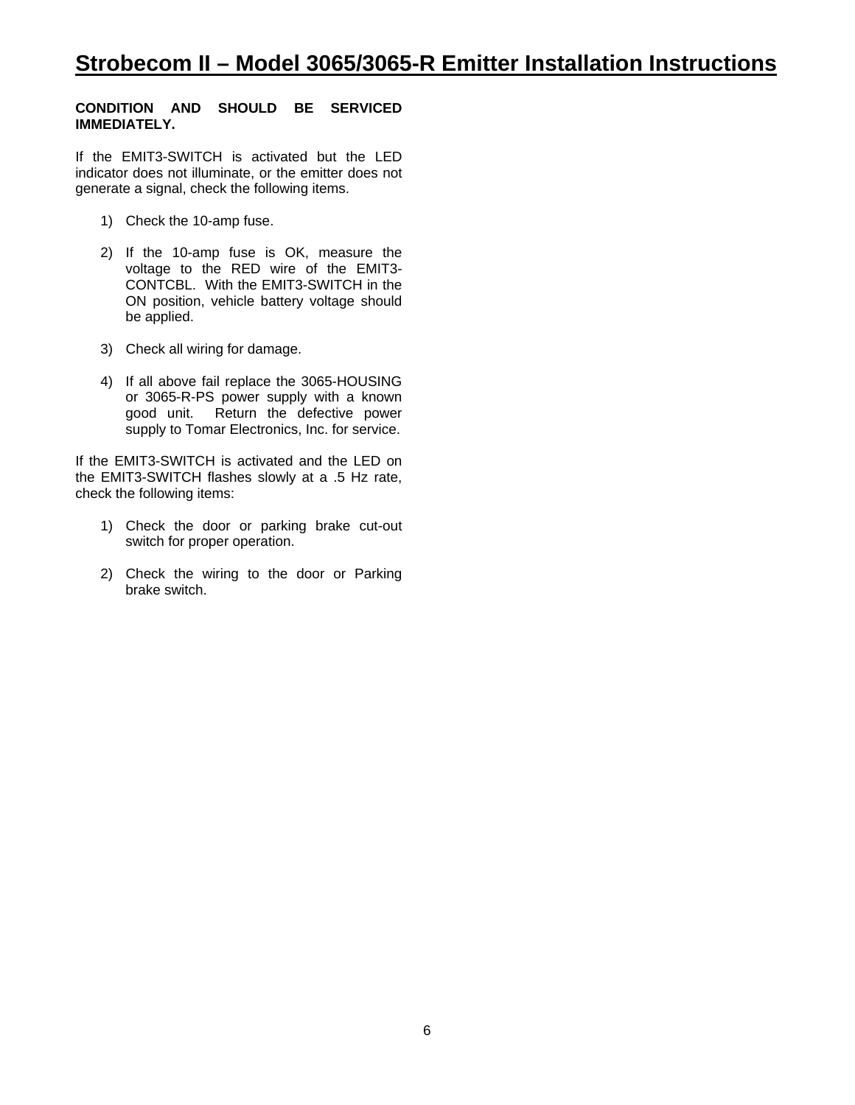#### **CONDITION AND SHOULD BE SERVICED IMMEDIATELY.**

If the EMIT3-SWITCH is activated but the LED indicator does not illuminate, or the emitter does not generate a signal, check the following items.

- 1) Check the 10-amp fuse.
- 2) If the 10-amp fuse is OK, measure the voltage to the RED wire of the EMIT3- CONTCBL. With the EMIT3-SWITCH in the ON position, vehicle battery voltage should be applied.
- 3) Check all wiring for damage.
- 4) If all above fail replace the 3065-HOUSING or 3065-R-PS power supply with a known good unit. Return the defective power supply to Tomar Electronics, Inc. for service.

If the EMIT3-SWITCH is activated and the LED on the EMIT3-SWITCH flashes slowly at a .5 Hz rate, check the following items:

- 1) Check the door or parking brake cut-out switch for proper operation.
- 2) Check the wiring to the door or Parking brake switch.